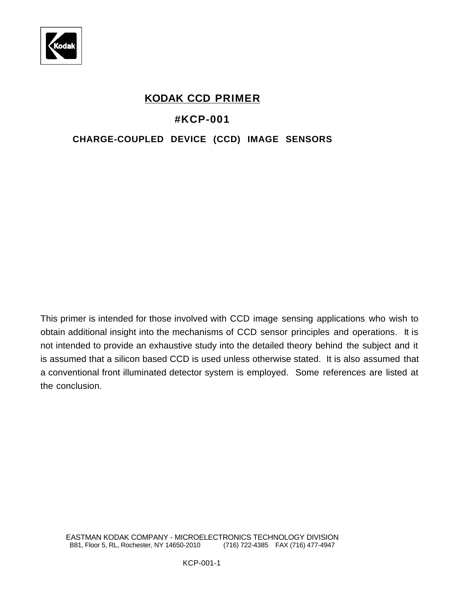

# **KODAK CCD PRIMER**

# **#KCP-001**

# **CHARGE-COUPLED DEVICE (CCD) IMAGE SENSORS**

This primer is intended for those involved with CCD image sensing applications who wish to obtain additional insight into the mechanisms of CCD sensor principles and operations. It is not intended to provide an exhaustive study into the detailed theory behind the subject and it is assumed that a silicon based CCD is used unless otherwise stated. It is also assumed that a conventional front illuminated detector system is employed. Some references are listed at the conclusion.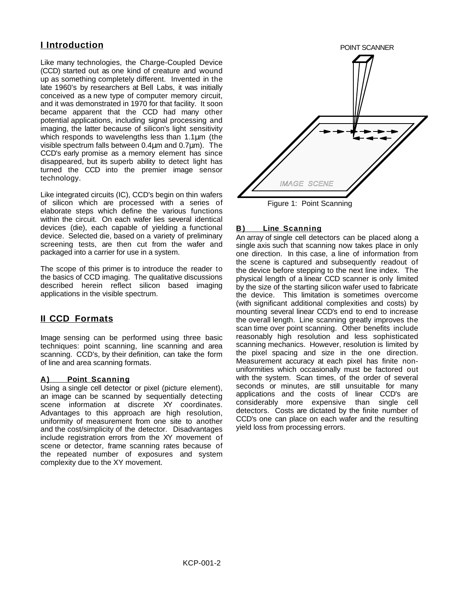# **I Introduction**

Like many technologies, the Charge-Coupled Device (CCD) started out as one kind of creature and wound up as something completely different. Invented in the late 1960's by researchers at Bell Labs, it was initially conceived as a new type of computer memory circuit, and it was demonstrated in 1970 for that facility. It soon became apparent that the CCD had many other potential applications, including signal processing and imaging, the latter because of silicon's light sensitivity which responds to wavelengths less than 1.1um (the visible spectrum falls between 0.4µm and 0.7µm). The CCD's early promise as a memory element has since disappeared, but its superb ability to detect light has turned the CCD into the premier image sensor technology.

Like integrated circuits (IC), CCD's begin on thin wafers of silicon which are processed with a series of elaborate steps which define the various functions within the circuit. On each wafer lies several identical devices (die), each capable of yielding a functional device. Selected die, based on a variety of preliminary screening tests, are then cut from the wafer and packaged into a carrier for use in a system.

The scope of this primer is to introduce the reader to the basics of CCD imaging. The qualitative discussions described herein reflect silicon based imaging applications in the visible spectrum.

# **II CCD Formats**

Image sensing can be performed using three basic techniques: point scanning, line scanning and area scanning. CCD's, by their definition, can take the form of line and area scanning formats.

## A) Point Scanning

Using a single cell detector or pixel (picture element), an image can be scanned by sequentially detecting scene information at discrete XY coordinates. Advantages to this approach are high resolution, uniformity of measurement from one site to another and the cost/simplicity of the detector. Disadvantages include registration errors from the XY movement of scene or detector, frame scanning rates because of the repeated number of exposures and system complexity due to the XY movement.



Figure 1: Point Scanning

# **B**) Line Scanning

An array of single cell detectors can be placed along a single axis such that scanning now takes place in only one direction. In this case, a line of information from the scene is captured and subsequently readout of the device before stepping to the next line index. The physical length of a linear CCD scanner is only limited by the size of the starting silicon wafer used to fabricate the device. This limitation is sometimes overcome (with significant additional complexities and costs) by mounting several linear CCD's end to end to increase the overall length. Line scanning greatly improves the scan time over point scanning. Other benefits include reasonably high resolution and less sophisticated scanning mechanics. However, resolution is limited by the pixel spacing and size in the one direction. Measurement accuracy at each pixel has finite nonuniformities which occasionally must be factored out with the system. Scan times, of the order of several seconds or minutes, are still unsuitable for many applications and the costs of linear CCD's are considerably more expensive than single cell detectors. Costs are dictated by the finite number of CCD's one can place on each wafer and the resulting yield loss from processing errors.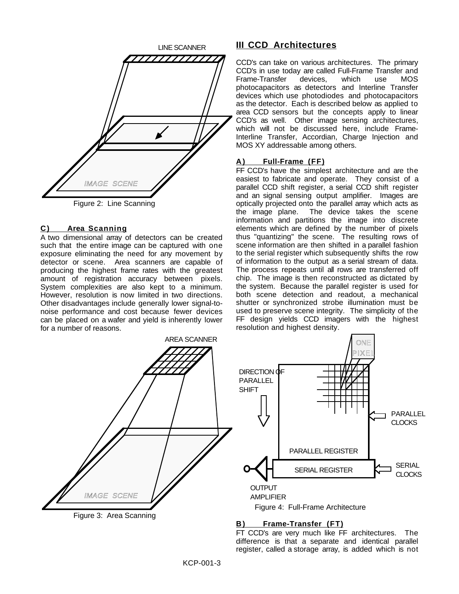

## **C ) Area Scanning**

A two dimensional array of detectors can be created such that the entire image can be captured with one exposure eliminating the need for any movement by detector or scene. Area scanners are capable of producing the highest frame rates with the greatest amount of registration accuracy between pixels. System complexities are also kept to a minimum. However, resolution is now limited in two directions. Other disadvantages include generally lower signal-tonoise performance and cost because fewer devices can be placed on a wafer and yield is inherently lower for a number of reasons.

# **III CCD Architectures**

CCD's can take on various architectures. The primary CCD's in use today are called Full-Frame Transfer and Frame-Transfer devices, which use MOS photocapacitors as detectors and Interline Transfer devices which use photodiodes and photocapacitors as the detector. Each is described below as applied to area CCD sensors but the concepts apply to linear CCD's as well. Other image sensing architectures, which will not be discussed here, include Frame-Interline Transfer, Accordian, Charge Injection and MOS XY addressable among others.

## **A ) Full-Frame (FF)**

FF CCD's have the simplest architecture and are the easiest to fabricate and operate. They consist of a parallel CCD shift register, a serial CCD shift register and an signal sensing output amplifier. Images are optically projected onto the parallel array which acts as the image plane. The device takes the scene information and partitions the image into discrete elements which are defined by the number of pixels thus "quantizing" the scene. The resulting rows of scene information are then shifted in a parallel fashion to the serial register which subsequently shifts the row of information to the output as a serial stream of data. The process repeats until all rows are transferred off chip. The image is then reconstructed as dictated by the system. Because the parallel register is used for both scene detection and readout, a mechanical shutter or synchronized strobe illumination must be used to preserve scene integrity. The simplicity of the FF design yields CCD imagers with the highest resolution and highest density.



FT CCD's are very much like FF architectures. The difference is that a separate and identical parallel register, called a storage array, is added which is not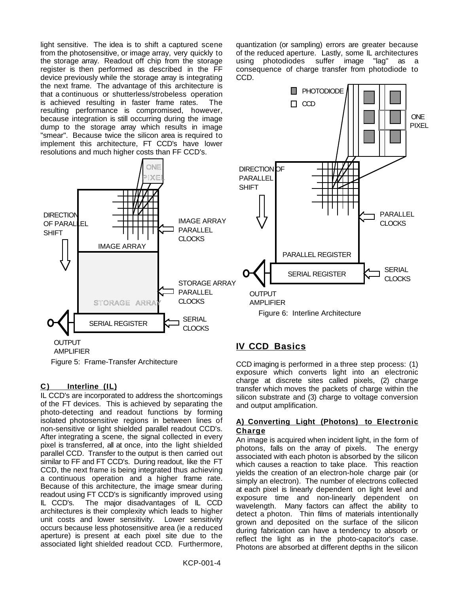light sensitive. The idea is to shift a captured scene from the photosensitive, or image array, very quickly to the storage array. Readout off chip from the storage register is then performed as described in the FF device previously while the storage array is integrating the next frame. The advantage of this architecture is that a continuous or shutterless/strobeless operation is achieved resulting in faster frame rates. The resulting performance is compromised, however, because integration is still occurring during the image dump to the storage array which results in image "smear". Because twice the silicon area is required to implement this architecture, FT CCD's have lower resolutions and much higher costs than FF CCD's.



Figure 5: Frame-Transfer Architecture

## **C ) Interline (IL)**

IL CCD's are incorporated to address the shortcomings of the FT devices. This is achieved by separating the photo-detecting and readout functions by forming isolated photosensitive regions in between lines of non-sensitive or light shielded parallel readout CCD's. After integrating a scene, the signal collected in every pixel is transferred, all at once, into the light shielded parallel CCD. Transfer to the output is then carried out similar to FF and FT CCD's. During readout, like the FT CCD, the next frame is being integrated thus achieving a continuous operation and a higher frame rate. Because of this architecture, the image smear during readout using FT CCD's is significantly improved using IL CCD's. The major disadvantages of IL CCD architectures is their complexity which leads to higher unit costs and lower sensitivity. Lower sensitivity occurs because less photosensitive area (ie a reduced aperture) is present at each pixel site due to the associated light shielded readout CCD. Furthermore,

quantization (or sampling) errors are greater because of the reduced aperture. Lastly, some IL architectures using photodiodes suffer image "lag" as a consequence of charge transfer from photodiode to CCD.



# **IV CCD Basics**

CCD imaging is performed in a three step process: (1) exposure which converts light into an electronic charge at discrete sites called pixels, (2) charge transfer which moves the packets of charge within the silicon substrate and (3) charge to voltage conversion and output amplification.

#### **A) Converting Light (Photons) to Electronic Charge**

An image is acquired when incident light, in the form of photons, falls on the array of pixels. The energy associated with each photon is absorbed by the silicon which causes a reaction to take place. This reaction yields the creation of an electron-hole charge pair (or simply an electron). The number of electrons collected at each pixel is linearly dependent on light level and exposure time and non-linearly dependent on wavelength. Many factors can affect the ability to detect a photon. Thin films of materials intentionally grown and deposited on the surface of the silicon during fabrication can have a tendency to absorb or reflect the light as in the photo-capacitor's case. Photons are absorbed at different depths in the silicon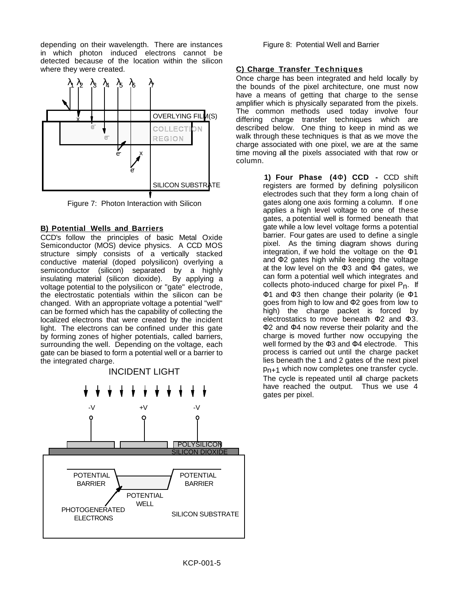depending on their wavelength. There are instances in which photon induced electrons cannot be detected because of the location within the silicon where they were created.



Figure 7: Photon Interaction with Silicon

### **B) Potential Wells and Barriers**

CCD's follow the principles of basic Metal Oxide Semiconductor (MOS) device physics. A CCD MOS structure simply consists of a vertically stacked conductive material (doped polysilicon) overlying a semiconductor (silicon) separated by a highly insulating material (silicon dioxide). By applying a voltage potential to the polysilicon or "gate" electrode, the electrostatic potentials within the silicon can be changed. With an appropriate voltage a potential "well" can be formed which has the capability of collecting the localized electrons that were created by the incident light. The electrons can be confined under this gate by forming zones of higher potentials, called barriers, surrounding the well. Depending on the voltage, each gate can be biased to form a potential well or a barrier to the integrated charge.



Figure 8: Potential Well and Barrier

#### **C) Charge Transfer Techniques**

Once charge has been integrated and held locally by the bounds of the pixel architecture, one must now have a means of getting that charge to the sense amplifier which is physically separated from the pixels. The common methods used today involve four differing charge transfer techniques which are described below. One thing to keep in mind as we walk through these techniques is that as we move the charge associated with one pixel, we are at the same time moving all the pixels associated with that row or column.

> **1) Four Phase (4**Φ**) CCD -** CCD shift registers are formed by defining polysilicon electrodes such that they form a long chain of gates along one axis forming a column. If one applies a high level voltage to one of these gates, a potential well is formed beneath that gate while a low level voltage forms a potential barrier. Four gates are used to define a single pixel. As the timing diagram shows during integration, if we hold the voltage on the  $\Phi$ 1 and Φ2 gates high while keeping the voltage at the low level on the Φ3 and Φ4 gates, we can form a potential well which integrates and collects photo-induced charge for pixel  $P_n$ . If Φ1 and Φ3 then change their polarity (ie Φ1 goes from high to low and Φ2 goes from low to high) the charge packet is forced by electrostatics to move beneath  $\Phi$ 2 and  $\Phi$ 3. Φ2 and Φ4 now reverse their polarity and the charge is moved further now occupying the well formed by the Φ3 and Φ4 electrode. This process is carried out until the charge packet lies beneath the 1 and 2 gates of the next pixel  $p_{n+1}$  which now completes one transfer cycle. The cycle is repeated until all charge packets have reached the output. Thus we use 4 gates per pixel.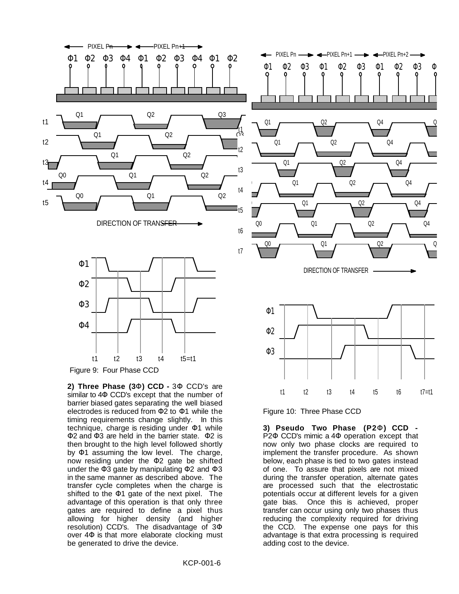

**2) Three Phase (3**Φ**) CCD -** 3Φ CCD's are similar to 4Φ CCD's except that the number of barrier biased gates separating the well biased electrodes is reduced from Φ2 to Φ1 while the timing requirements change slightly. In this technique, charge is residing under Φ1 while Φ2 and Φ3 are held in the barrier state. Φ2 is then brought to the high level followed shortly by Φ1 assuming the low level. The charge, now residing under the Φ2 gate be shifted under the Φ3 gate by manipulating Φ2 and Φ3 in the same manner as described above. The transfer cycle completes when the charge is shifted to the Φ1 gate of the next pixel. The advantage of this operation is that only three gates are required to define a pixel thus allowing for higher density (and higher resolution) CCD's. The disadvantage of 3Φ over 4Φ is that more elaborate clocking must be generated to drive the device.

Figure 10: Three Phase CCD

**3) Pseudo Two Phase (P2**Φ**) CCD -** P2Φ CCD's mimic a 4Φ operation except that now only two phase clocks are required to implement the transfer procedure. As shown below, each phase is tied to two gates instead of one. To assure that pixels are not mixed during the transfer operation, alternate gates are processed such that the electrostatic potentials occur at different levels for a given gate bias. Once this is achieved, proper transfer can occur using only two phases thus reducing the complexity required for driving the CCD. The expense one pays for this advantage is that extra processing is required adding cost to the device.

t1 t2 t3 t4 t5 t6 t7=t1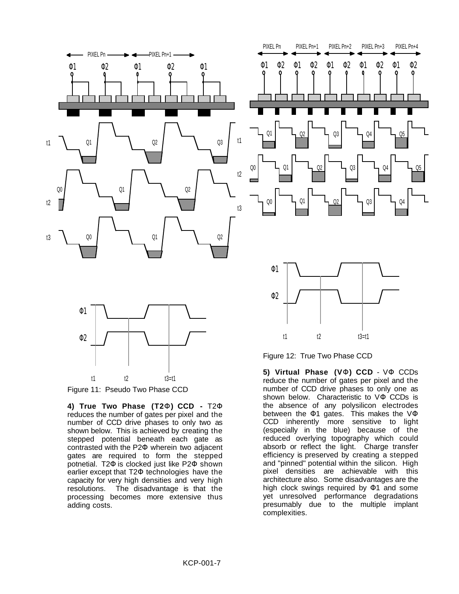

Figure 11: Pseudo Two Phase CCD

**4) True Two Phase (T2**Φ**) CCD -** T2Φ reduces the number of gates per pixel and the number of CCD drive phases to only two as shown below. This is achieved by creating the stepped potential beneath each gate as contrasted with the P2Φ wherein two adjacent gates are required to form the stepped potnetial. T2Φ is clocked just like P2Φ shown earlier except that T2Φ technologies have the capacity for very high densities and very high resolutions. The disadvantage is that the processing becomes more extensive thus adding costs.

**5) Virtual Phase (V**Φ**) CCD** - VΦ CCDs reduce the number of gates per pixel and the number of CCD drive phases to only one as shown below. Characteristic to VΦ CCDs is the absence of any polysilicon electrodes between the Φ1 gates. This makes the VΦ CCD inherently more sensitive to light (especially in the blue) because of the reduced overlying topography which could absorb or reflect the light. Charge transfer efficiency is preserved by creating a stepped and "pinned" potential within the silicon. High pixel densities are achievable with this architecture also. Some disadvantages are the high clock swings required by Φ1 and some yet unresolved performance degradations presumably due to the multiple implant complexities.

Q4

Q5

Q5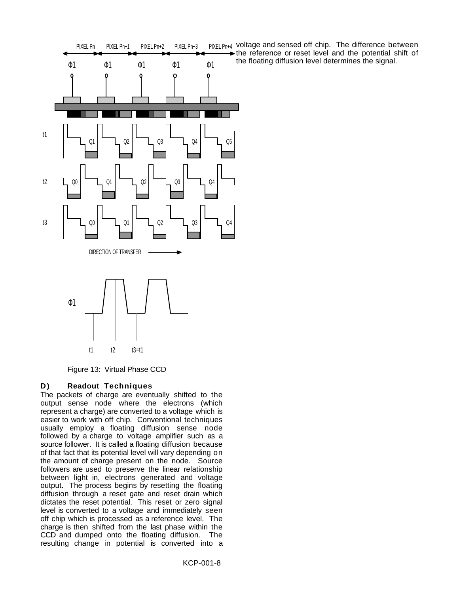

Figure 13: Virtual Phase CCD

## **D)** Readout Techniques

The packets of charge are eventually shifted to the output sense node where the electrons (which represent a charge) are converted to a voltage which is easier to work with off chip. Conventional techniques usually employ a floating diffusion sense node followed by a charge to voltage amplifier such as a source follower. It is called a floating diffusion because of that fact that its potential level will vary depending on the amount of charge present on the node. Source followers are used to preserve the linear relationship between light in, electrons generated and voltage output. The process begins by resetting the floating diffusion through a reset gate and reset drain which dictates the reset potential. This reset or zero signal level is converted to a voltage and immediately seen off chip which is processed as a reference level. The charge is then shifted from the last phase within the CCD and dumped onto the floating diffusion. The resulting change in potential is converted into a

PIXEL Pn+4 voltage and sensed off chip. The difference between the reference or reset level and the potential shift of the floating diffusion level determines the signal.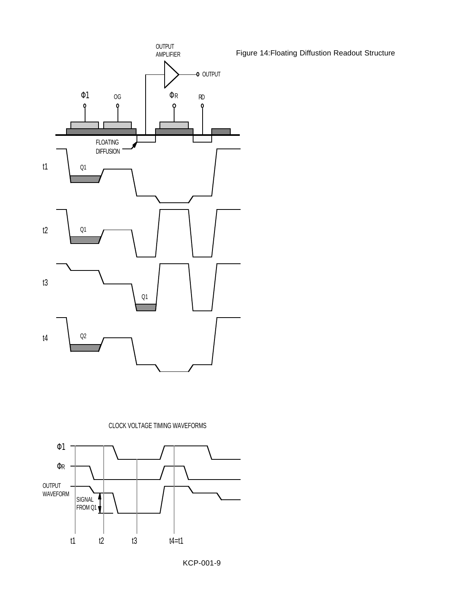

ΦR

SIGNAL FROM Q1

t1 t2 t3 t4=t1

OUTPUT WAVEFORM Figure 14:Floating Diffustion Readout Structure

KCP-001-9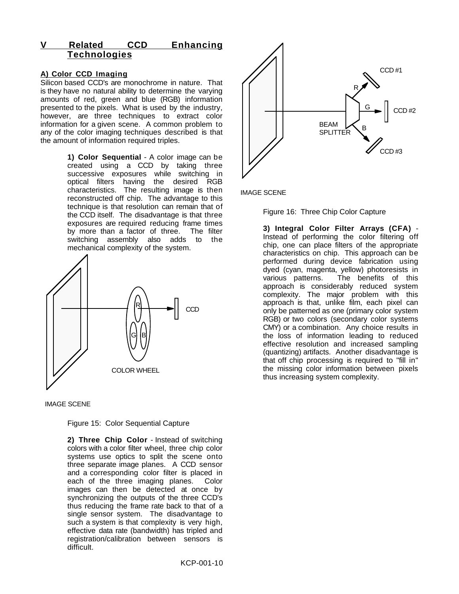# **V Related CCD Enhancing Technologies**

## **A) Color CCD Imaging**

Silicon based CCD's are monochrome in nature. That is they have no natural ability to determine the varying amounts of red, green and blue (RGB) information presented to the pixels. What is used by the industry, however, are three techniques to extract color information for a given scene. A common problem to any of the color imaging techniques described is that the amount of information required triples.

> **1) Color Sequential** - A color image can be created using a CCD by taking three successive exposures while switching in optical filters having the desired RGB characteristics. The resulting image is then reconstructed off chip. The advantage to this technique is that resolution can remain that of the CCD itself. The disadvantage is that three exposures are required reducing frame times by more than a factor of three. The filter switching assembly also adds to the mechanical complexity of the system.





Figure 15: Color Sequential Capture

**2) Three Chip Color** - Instead of switching colors with a color filter wheel, three chip color systems use optics to split the scene onto three separate image planes. A CCD sensor and a corresponding color filter is placed in each of the three imaging planes. Color images can then be detected at once by synchronizing the outputs of the three CCD's thus reducing the frame rate back to that of a single sensor system. The disadvantage to such a system is that complexity is very high, effective data rate (bandwidth) has tripled and registration/calibration between sensors is difficult.



IMAGE SCENE

Figure 16: Three Chip Color Capture

**3) Integral Color Filter Arrays (CFA)** - Instead of performing the color filtering off chip, one can place filters of the appropriate characteristics on chip. This approach can be performed during device fabrication using dyed (cyan, magenta, yellow) photoresists in various patterns. The benefits of this approach is considerably reduced system complexity. The major problem with this approach is that, unlike film, each pixel can only be patterned as one (primary color system RGB) or two colors (secondary color systems CMY) or a combination. Any choice results in the loss of information leading to reduced effective resolution and increased sampling (quantizing) artifacts. Another disadvantage is that off chip processing is required to "fill in" the missing color information between pixels thus increasing system complexity.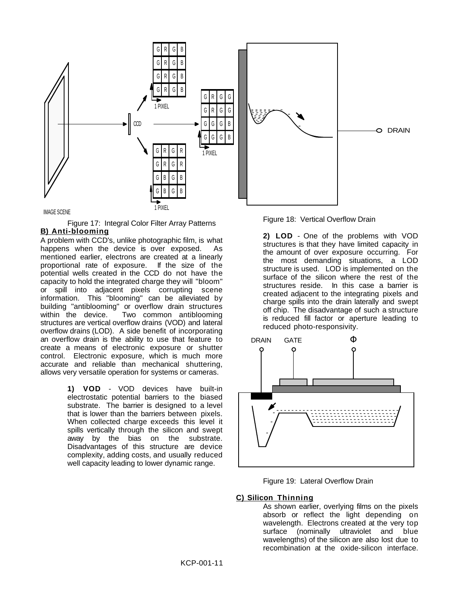

#### IMAGE SCENE

Figure 17: Integral Color Filter Array Patterns  **B) Anti-blooming** 

A problem with CCD's, unlike photographic film, is what happens when the device is over exposed. As mentioned earlier, electrons are created at a linearly proportional rate of exposure. If the size of the potential wells created in the CCD do not have the capacity to hold the integrated charge they will "bloom" or spill into adjacent pixels corrupting scene information. This "blooming" can be alleviated by building "antiblooming" or overflow drain structures within the device. Two common antiblooming structures are vertical overflow drains (VOD) and lateral overflow drains (LOD). A side benefit of incorporating an overflow drain is the ability to use that feature to create a means of electronic exposure or shutter control. Electronic exposure, which is much more accurate and reliable than mechanical shuttering, allows very versatile operation for systems or cameras.

> **1) VOD** - VOD devices have built-in electrostatic potential barriers to the biased substrate. The barrier is designed to a level that is lower than the barriers between pixels. When collected charge exceeds this level it spills vertically through the silicon and swept away by the bias on the substrate. Disadvantages of this structure are device complexity, adding costs, and usually reduced well capacity leading to lower dynamic range.



**2) LOD** - One of the problems with VOD structures is that they have limited capacity in the amount of over exposure occurring. For the most demanding situations, a LOD structure is used. LOD is implemented on the surface of the silicon where the rest of the structures reside. In this case a barrier is created adjacent to the integrating pixels and charge spills into the drain laterally and swept off chip. The disadvantage of such a structure is reduced fill factor or aperture leading to reduced photo-responsivity.



Figure 19: Lateral Overflow Drain

#### **C) Silicon Thinning**

As shown earlier, overlying films on the pixels absorb or reflect the light depending on wavelength. Electrons created at the very top surface (nominally ultraviolet and blue wavelengths) of the silicon are also lost due to recombination at the oxide-silicon interface.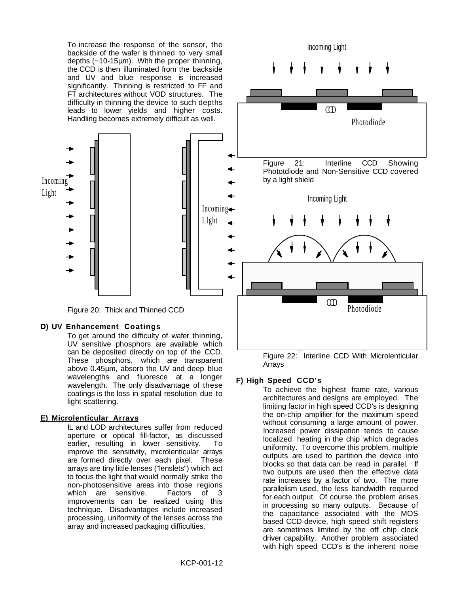To increase the response of the sensor, the backside of the wafer is thinned to very small depths (~10-15µm). With the proper thinning, the CCD is then illuminated from the backside and UV and blue response is increased significantly. Thinning is restricted to FF and FT architectures without VOD structures. The difficulty in thinning the device to such depths leads to lower yields and higher costs. Handling becomes extremely difficult as well.



Figure 20: Thick and Thinned CCD

# **D) UV Enhancement Coatings**

To get around the difficulty of wafer thinning, UV sensitive phosphors are available which can be deposited directly on top of the CCD. These phosphors, which are transparent above 0.45µm, absorb the UV and deep blue wavelengths and fluoresce at a longer wavelength. The only disadvantage of these coatings is the loss in spatial resolution due to light scattering.

## **E) Microlenticular Arrays**

IL and LOD architectures suffer from reduced aperture or optical fill-factor, as discussed earlier, resulting in lower sensitivity. To improve the sensitivity, microlenticular arrays are formed directly over each pixel. These arrays are tiny little lenses ("lenslets") which act to focus the light that would normally strike the non-photosensitive areas into those regions which are sensitive. Factors of 3 improvements can be realized using this technique. Disadvantages include increased processing, uniformity of the lenses across the array and increased packaging difficulties.



Figure 22: Interline CCD With Microlenticular Arrays

# **F) High Speed CCD's**

To achieve the highest frame rate, various architectures and designs are employed. The limiting factor in high speed CCD's is designing the on-chip amplifier for the maximum speed without consuming a large amount of power. Increased power dissipation tends to cause localized heating in the chip which degrades uniformity. To overcome this problem, multiple outputs are used to partition the device into blocks so that data can be read in parallel. If two outputs are used then the effective data rate increases by a factor of two. The more parallelism used, the less bandwidth required for each output. Of course the problem arises in processing so many outputs. Because of the capacitance associated with the MOS based CCD device, high speed shift registers are sometimes limited by the off chip clock driver capability. Another problem associated with high speed CCD's is the inherent noise